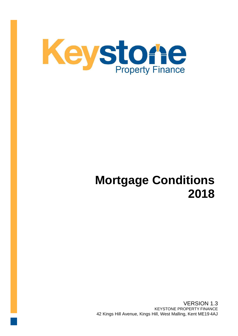

# **Mortgage Conditions 2018**

VERSION 1.3 KEYSTONE PROPERTY FINANCE 42 Kings Hill Avenue, Kings Hill, West Malling, Kent ME19 4AJ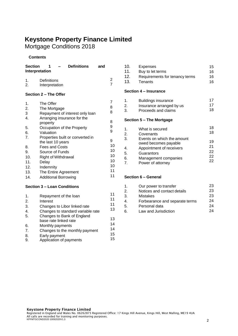# **Keystone Property Finance Limited**

Mortgage Conditions 2018

# **Contents**

| <b>Section</b><br><b>Interpretation</b> | <b>Definitions</b>                      | and |    |
|-----------------------------------------|-----------------------------------------|-----|----|
| 1.<br>2.                                | Definitions<br>Interpretation           |     | 2  |
|                                         | Section 2 - The Offer                   |     |    |
| 1.                                      | The Offer                               |     | 7  |
| 2.                                      | The Mortgage                            |     | 8  |
| 3                                       | Repayment of interest only loan         |     | 8  |
| 4.                                      | Arranging insurance for the<br>property |     | 8  |
| 5.                                      | Occupation of the Property              |     | 9  |
| 6.                                      | Valuation                               |     | 9  |
| 7.                                      | Properties built or converted in        |     |    |
|                                         | the last 10 years                       |     | 9  |
| 8.                                      | <b>Fees and Costs</b>                   |     | 10 |
| 9.                                      | Source of Funds                         |     | 10 |
| 10.                                     | <b>Right of Withdrawal</b>              |     | 10 |
| 11.                                     | Delay                                   |     | 10 |
| 12.                                     | Indemnity                               |     | 10 |
| 13.                                     | The Entire Agreement                    |     | 11 |
| 14.                                     | <b>Additional Borrowing</b>             |     | 11 |

# **Section 3 – Loan Conditions**

| $\mathbf 1$ .  | Repayment of the loan                               | 11 |
|----------------|-----------------------------------------------------|----|
| 2.             | Interest                                            | 11 |
| 3.             | Changes to Libor linked rate                        | 11 |
| 4.             | Changes to standard variable rate                   | 13 |
| 5.             | Changes to Bank of England<br>base rate linked rate | 13 |
| 6.             | Monthly payments                                    | 14 |
| 7 <sub>1</sub> | Changes to the monthly payment                      | 14 |
| 8.             | Early payment                                       | 15 |
| 9.             | Application of payments                             | 15 |
|                |                                                     |    |

| 10. | Expenses                       | 15 |
|-----|--------------------------------|----|
| 11. | Buy to let terms               | 16 |
| 12. | Requirements for tenancy terms | 16 |
| 13. | Tenants                        | 16 |
|     |                                |    |

# **Section 4 – Insurance**

|    | Buildings insurance      |    |
|----|--------------------------|----|
| 2. | Insurance arranged by us | 17 |
| 3  | Proceeds and claims      | 18 |

## **Section 5 – The Mortgage**

| $\mathbf 1$ . | What is secured                                    | 18       |
|---------------|----------------------------------------------------|----------|
| 2.            | Covenants                                          | 18       |
| 3.            | Events on which the amount<br>owed becomes payable | 19       |
| $\mathbf{4}$  | Appointment of receivers                           | 21       |
| 5.            | Guarantors                                         | 22       |
| 6.            | Management companies                               | 22<br>22 |
| 7             | Power of attorney                                  |          |

# **Section 6 – General**

| $\mathbf 1$ .  | Our power to transfer          | 23 |
|----------------|--------------------------------|----|
| 2.             | Notices and contact details    | 23 |
| 3.             | <b>Mistakes</b>                | 23 |
| $\mathbf{4}$ . | Forbearance and separate terms | 24 |
| 5.             | Personal data                  | 24 |
| 6.             | Law and Jurisdiction           | 24 |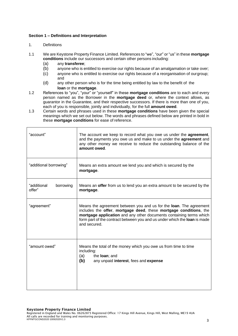## **Section 1 – Definitions and Interpretation**

#### 1. Definitions

- 1.1 We are Keystone Property Finance Limited. References to "we", "our" or "us" in these **mortgage conditions** include our successors and certain other persons including:
	- (a) any **transferee**;
	- (b) anyone who is entitled to exercise our rights because of an amalgamation or take over;
	- (c) anyone who is entitled to exercise our rights because of a reorganisation of ourgroup; and
	- (d) any other person who is for the time being entitled by law to the benefit of the **loan** or the **mortgage**.
- 1.2 References to "you", "your" or "yourself" in these **mortgage conditions** are to each and every person named as the Borrower in the **mortgage deed** or, where the context allows, as guarantor in the Guarantee, and their respective successors. If there is more than one of you, each of you is responsible, jointly and individually, for the full **amount owed**.
- 1.3 Certain words and phrases used in these **mortgage conditions** have been given the special meanings which we set out below. The words and phrases defined below are printed in bold in these **mortgage conditions** for ease of reference.

| "account"                          | The account we keep to record what you owe us under the agreement,<br>and the payments you owe us and make to us under the agreement and<br>any other money we receive to reduce the outstanding balance of the<br>amount owed.                                                                                     |
|------------------------------------|---------------------------------------------------------------------------------------------------------------------------------------------------------------------------------------------------------------------------------------------------------------------------------------------------------------------|
| "additional borrowing"             | Means an extra amount we lend you and which is secured by the<br>mortgage.                                                                                                                                                                                                                                          |
| "additional<br>borrowing<br>offer" | Means an offer from us to lend you an extra amount to be secured by the<br>mortgage.                                                                                                                                                                                                                                |
| "agreement"                        | Means the agreement between you and us for the <b>loan</b> . The agreement<br>includes the offer, mortgage deed, these mortgage conditions, the<br>mortgage application and any other documents containing terms which<br>form part of the contract between you and us under which the loan is made<br>and secured. |
| "amount owed"                      | Means the total of the money which you owe us from time to time<br>including:<br>(a)<br>the <b>loan</b> ; and<br>(b)<br>any unpaid interest, fees and expense                                                                                                                                                       |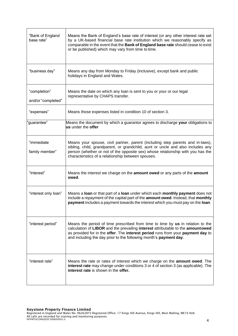| "Bank of England<br>base rate"     | Means the Bank of England's base rate of interest (or any other interest rate set<br>by a UK-based financial base rate institution which we reasonably specify as<br>comparable in the event that the Bank of England base rate should cease to exist<br>or be published) which may vary from time to time.               |
|------------------------------------|---------------------------------------------------------------------------------------------------------------------------------------------------------------------------------------------------------------------------------------------------------------------------------------------------------------------------|
| "business day"                     | Means any day from Monday to Friday (inclusive), except bank and public<br>holidays in England and Wales.                                                                                                                                                                                                                 |
| "completion"<br>and/or "completed" | Means the date on which any loan is sent to you or your or our legal<br>representative by CHAPS transfer.                                                                                                                                                                                                                 |
| "expenses"                         | Means those expenses listed in condition 10 of section 3.                                                                                                                                                                                                                                                                 |
| 'guarantee"                        | Means the document by which a guarantor agrees to discharge your obligations to<br>us under the offer                                                                                                                                                                                                                     |
| "immediate<br>family member"       | Means your spouse, civil partner, parent (including step parents and in-laws),<br>sibling, child, grandparent, or grandchild, aunt or uncle and also includes any<br>person (whether or not of the opposite sex) whose relationship with you has the<br>characteristics of a relationship between spouses.                |
| "Interest"                         | Means the interest we charge on the amount owed or any parts of the amount<br>owed.                                                                                                                                                                                                                                       |
| "interest only loan"               | Means a loan or that part of a loan under which each monthly payment does not<br>include a repayment of the capital part of the amount owed. Instead, that monthly<br>payment includes a payment towards the interest which you must pay on the loan.                                                                     |
| "interest period"                  | Means the period of time prescribed from time to time by us in relation to the<br>calculation of LIBOR and the prevailing interest attributable to the amountowed<br>as provided for in the offer. The interest period runs from your payment day to<br>and including the day prior to the following month's payment day. |
| "interest rate"                    | Means the rate or rates of interest which we charge on the <b>amount owed</b> . The<br>interest rate may change under conditions 3 or 4 of section 3 (as applicable). The<br>interest rate is shown in the offer.                                                                                                         |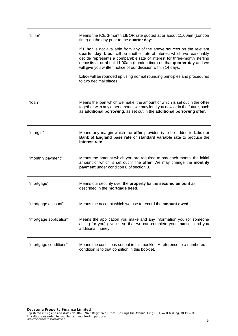| "Libor"                | Means the ICE 3-month LIBOR rate quoted at or about 11.00am (London<br>time) on the day prior to the quarter day:                                                                                                                                                                                                                                                                                                                                   |
|------------------------|-----------------------------------------------------------------------------------------------------------------------------------------------------------------------------------------------------------------------------------------------------------------------------------------------------------------------------------------------------------------------------------------------------------------------------------------------------|
|                        | If Libor is not available from any of the above sources on the relevant<br>quarter day, Libor will be another rate of interest which we reasonably<br>decide represents a comparable rate of interest for three-month sterling<br>deposits at or about 11.00am (London time) on that quarter day and we<br>will give you written notice of our decision within 14 days.<br>Libor will be rounded up using normal rounding principles and procedures |
|                        | to two decimal places.                                                                                                                                                                                                                                                                                                                                                                                                                              |
| "loan"                 | Means the loan which we make, the amount of which is set out in the offer<br>together with any other amount we may lend you now or in the future, such<br>as additional borrowing, as set out in the additional borrowing offer.                                                                                                                                                                                                                    |
| "margin"               | Means any margin which the offer provides is to be added to Libor or<br>Bank of England base rate or standard variable rate to produce the<br>interest rate.                                                                                                                                                                                                                                                                                        |
| "monthly payment"      | Means the amount which you are required to pay each month, the initial<br>amount of which is set out in the offer. We may change the monthly<br>payment under condition 6 of section 3.                                                                                                                                                                                                                                                             |
| "mortgage"             | Means our security over the property for the secured amount as<br>described in the mortgage deed.                                                                                                                                                                                                                                                                                                                                                   |
| "mortgage account"     | Means the account which we use to record the <b>amount owed</b> .                                                                                                                                                                                                                                                                                                                                                                                   |
| "mortgage application" | Means the application you make and any information you (or someone<br>acting for you) give us so that we can complete your loan or lend you<br>additional money.                                                                                                                                                                                                                                                                                    |
| "mortgage conditions"  | Means the conditions set out in this booklet. A reference to a numbered<br>condition is to that condition in this booklet.                                                                                                                                                                                                                                                                                                                          |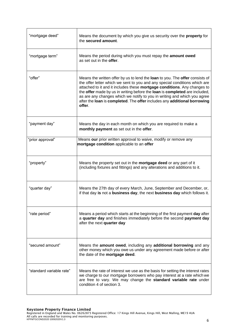| "mortgage deed"          | Means the document by which you give us security over the <b>property</b> for<br>the secured amount.                                                                                                                                                                                                                                                                                                                                                                                   |
|--------------------------|----------------------------------------------------------------------------------------------------------------------------------------------------------------------------------------------------------------------------------------------------------------------------------------------------------------------------------------------------------------------------------------------------------------------------------------------------------------------------------------|
| "mortgage term"          | Means the period during which you must repay the amount owed<br>as set out in the offer.                                                                                                                                                                                                                                                                                                                                                                                               |
| "offer"                  | Means the written offer by us to lend the loan to you. The offer consists of<br>the offer letter which we sent to you and any special conditions which are<br>attached to it and it includes these mortgage conditions. Any changes to<br>the offer made by us in writing before the loan is completed are included,<br>as are any changes which we notify to you in writing and which you agree<br>after the loan is completed. The offer includes any additional borrowing<br>offer. |
| "payment day"            | Means the day in each month on which you are required to make a<br>monthly payment as set out in the offer.                                                                                                                                                                                                                                                                                                                                                                            |
| "prior approval"         | Means our prior written approval to waive, modify or remove any<br>mortgage condition applicable to an offer                                                                                                                                                                                                                                                                                                                                                                           |
| "property"               | Means the property set out in the mortgage deed or any part of it<br>(including fixtures and fittings) and any alterations and additions to it.                                                                                                                                                                                                                                                                                                                                        |
| "quarter day"            | Means the 27th day of every March, June, September and December, or,<br>if that day is not a business day, the next business day which follows it.                                                                                                                                                                                                                                                                                                                                     |
| "rate period"            | Means a period which starts at the beginning of the first payment day after<br>a quarter day and finishes immediately before the second payment day<br>after the next quarter day                                                                                                                                                                                                                                                                                                      |
| "secured amount"         | Means the amount owed, including any additional borrowing and any<br>other money which you owe us under any agreement made before or after<br>the date of the mortgage deed.                                                                                                                                                                                                                                                                                                           |
| "standard variable rate" | Means the rate of interest we use as the basis for setting the interest rates<br>we charge to our mortgage borrowers who pay interest at a rate which we<br>are free to vary. We may change the standard variable rate under<br>condition 4 of section 3.                                                                                                                                                                                                                              |

Registered in England and Wales No. 06262873 Registered Office: 17 Kings Hill Avenue, Kings Hill, West Malling, ME19 4UA All calls are recorded for training and monitoring purposes. KPFMTGCOND2020 10092020V1.3 6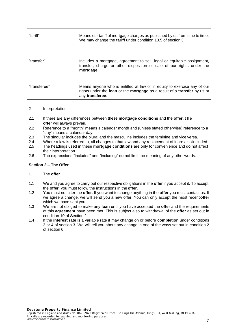| "tariff"     | Means our tariff of mortgage charges as published by us from time to time.<br>We may change the tariff under condition 10.5 of section 3                               |
|--------------|------------------------------------------------------------------------------------------------------------------------------------------------------------------------|
| "transfer"   | Includes a mortgage, agreement to sell, legal or equitable assignment,<br>transfer, charge or other disposition or sale of our rights under the<br>mortgage.           |
| "transferee" | Means anyone who is entitled at law or in equity to exercise any of our<br>rights under the loan or the mortgage as a result of a transfer by us or<br>any transferee. |

#### 2 Interpretation

- 2.1 If there are any differences between these **mortgage conditions** and the **offer,** t he **offer** will always prevail.
- 2.2 Reference to a "month" means a calendar month and (unless stated otherwise) reference to a "day" means a calendar day.
- 2.3 The singular includes the plural and the masculine includes the feminine and vice versa.
- 2.4 Where a law is referred to, all changes to that law and any replacement of it are also included.
- 2.5 The headings used in these **mortgage conditions** are only for convenience and do not affect their interpretation.
- 2.6 The expressions "includes" and "including" do not limit the meaning of any other words.

#### **Section 2 – The Offer**

#### **1.** The **offer**

- 1.1 We and you agree to carry out our respective obligations in the **offer** if you accept it. To accept the **offer**, you must follow the instructions in the **offer**.
- 1.2 You must not alter the **offer**. If you want to change anything in the **offer** you must contact us. If we agree a change, we will send you a new offer. You can only accept the most recent**offer**  which we have sent you.
- 1.3 We are not obliged to make any **loan** until you have accepted the **offer** and the requirements of this **agreement** have been met. This is subject also to withdrawal of the **offer** as set out in condition 10 of Section 2.
- 1.4 If the **interest rate** is a variable rate it may change on or before **completion** under conditions 3 or 4 of section 3. We will tell you about any change in one of the ways set out in condition 2 of section 6.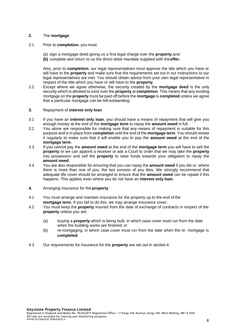# **2.** The **mortgage**

- 2.1 Prior to **completion**, you must:
	- (a) sign a mortgage deed giving us a first legal charge over the **property**;and
	- **(b)** complete and return to us the direct debit mandate supplied with the**offer.**

Also, prior to **completion**, our legal representatives must approve the title which you have or will have to the **property** and make sure that the requirements set out in our instructions to our legal representatives are met. You should obtain advice from your own legal representative in respect of the title which you have or will have to the **property**.

- 2.2 Except where we agree otherwise, the security created by the **mortgage deed** is the only security which is allowed to exist over the **property** at **completion**. This means that any existing mortgage on the **property** must be paid off before the **mortgage** is **completed** unless we agree that a particular mortgage can be left outstanding.
- **3.** Repayment of **interest only loan**
- 3.1 If you have an **interest only loan**, you should have a means of repayment that will give you enough money at the end of the **mortgage term** to repay the **amount owed** in full.
- 3.2 You alone are responsible for making sure that any means of repayment is suitable for this purpose and is in place from **completion** until the end of the **mortgage term**. You should review it regularly to make sure that it will enable you to pay the **amount owed** at the end of the **mortgage term**.
- 3.3 If you cannot pay the **amount owed** at the end of the **mortgage term** you will have to sell the **property** or we can appoint a receiver or ask a Court to order that we may take the **property**  into possession and sell the **property** to raise funds towards your obligation to repay the **amount owed**.
- 3.4 You are also responsible for ensuring that you can repay the **amount owed** if you die or, where there is more than one of you, the last survivor of you dies. We strongly recommend that adequate life cover should be arranged to ensure that the **amount owed** can be repaid if this happens. This applies even where you do not have an **interest only loan**.
- **4.** Arranging insurance for the **property**
- 4.1 You must arrange and maintain insurance for the property up to the end of the **mortgage term**. If you fail to do this, we may arrange insurance cover.
- 4.2 You must keep the **property** insured from the date of exchange of contracts in respect of the **property** unless you are:
	- (a) buying a **property** which is being built, in which case cover must run from the date when the building works are finished; or
	- (b) re-mortgaging, in which case cover must run from the date when the re- mortgage is **completed**.
- 4.3 Our requirements for insurance for the **property** are set out in section 4.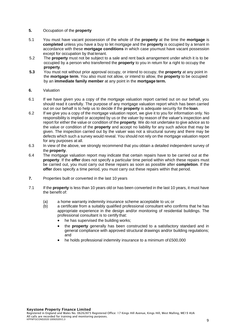#### **5.** Occupation of the **property**

- 5.1 You must have vacant possession of the whole of the **property** at the time the **mortgage** is **completed** unless you have a buy to let mortgage and the **property** is occupied by a tenant in accordance with these **mortgage conditions** in which case youmust have vacant possession except for occupation by that tenant.
- 5.2 The **property** must not be subject to a sale and rent back arrangement under which it is to be occupied by a person who transferred the **property** to you in return for a right to occupy the **property**.
- **5.3** You must not without prior approval occupy, or intend to occupy, the **property** at any point in the **mortgage term**. You also must not allow, or intend to allow, the **property** to be occupied by an **immediate family member** at any point in the **mortgage term.**

#### **6.** Valuation

- 6.1 If we have given you a copy of the mortgage valuation report carried out on our behalf, you should read it carefully. The purpose of any mortgage valuation report which has been carried out on our behalf is to help us to decide if the **property** is adequate security for the **loan**.
- 6.2 If we give you a copy of the mortgage valuation report, we give it to you for information only. No responsibility is implied or accepted by us or the valuer by reason of the valuer's inspection and report for either the value or condition of the **property**. We do not undertake to give advice as to the value or condition of the **property** and accept no liability for any such advice that may be given. The inspection carried out by the valuer was not a structural survey and there may be defects which such a survey would reveal. You should not rely on the mortgage valuation report for any purposes at all.
- 6.3 In view of the above, we strongly recommend that you obtain a detailed independent survey of the **property**.
- 6.4 The mortgage valuation report may indicate that certain repairs have to be carried out at the **property**. If the **offer** does not specify a particular time period within which these repairs must be carried out, you must carry out these repairs as soon as possible after **completion**. If the **offer** does specify a time period, you must carry out these repairs within that period.
- **7.** Properties built or converted in the last 10 years
- 7.1 If the **property** is less than 10 years old or has been converted in the last 10 years, it must have the benefit of:
	- (a) a home warranty indemnity insurance scheme acceptable to us; or
	- (b) a certificate from a suitably qualified professional consultant who confirms that he has appropriate experience in the design and/or monitoring of residential buildings. The professional consultant is to certify that:
		- he has supervised the building works:
		- the **property** generally has been constructed to a satisfactory standard and in general compliance with approved structural drawings and/or building regulations; and
		- he holds professional indemnity insurance to a minimum of £500,000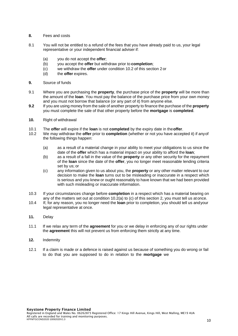- **8.** Fees and costs
- 8.1 You will not be entitled to a refund of the fees that you have already paid to us, your legal representative or your independent financial adviser if:
	- (a) you do not accept the **offer**;
	- (b) you accept the **offer** but withdraw prior to **completion**;
	- (c) we withdraw the **offer** under condition 10.2 of this section 2 or
	- (d) the **offer** expires.
- **9.** Source of funds
- 9.1 Where you are purchasing the **property**, the purchase price of the **property** will be more than the amount of the **loan**. You must pay the balance of the purchase price from your own money and you must not borrow that balance (or any part of it) from anyone else.
- **9.2** If you are using money from the sale of another property to finance the purchase of the **property** you must complete the sale of that other property before the **mortgage** is **completed**.
- **10.** Right of withdrawal
- 10.1 The **offer** will expire if the **loan** is not **completed** by the expiry date in the**offer**.
- 10.2 We may withdraw the **offer** prior to **completion** (whether or not you have accepted it) if anyof the following things happen:
	- (a) as a result of a material change in your ability to meet your obligations to us since the date of the **offer** which has a material impact on your ability to afford the **loan**;
	- (b) as a result of a fall in the value of the **property** or any other security for the repayment of the **loan** since the date of the **offer**, you no longer meet reasonable lending criteria set by us; or
	- (c) any information given to us about you, the **property** or any other matter relevant to our decision to make the **loan** turns out to be misleading or inaccurate in a respect which is serious and you knew or ought reasonably to have known that we had been provided with such misleading or inaccurate information.
- 10.3 If your circumstances change before **completion** in a respect which has a material bearing on any of the matters set out at condition 10.2(a) to (c) of this section 2, you must tell us at once.
- 10.4 If, for any reason, you no longer need the **loan** prior to completion, you should tell us andyour legal representative at once.
- **11.** Delay
- 11.1 If we relax any term of the **agreement** for you or we delay in enforcing any of our rights under the **agreement** this will not prevent us from enforcing them strictly at any time.
- **12.** Indemnity
- 12.1 If a claim is made or a defence is raised against us because of something you do wrong or fail to do that you are supposed to do in relation to the **mortgage** we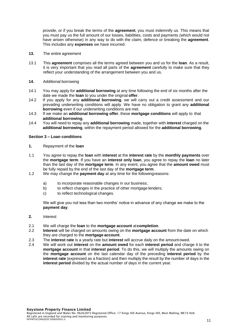provide, or if you break the terms of the **agreement**, you must indemnify us. This means that you must pay us the full amount of our losses, liabilities, costs and payments (which would not have arisen otherwise) in any way to do with the claim, defence or breaking the **agreement**. This includes any **expenses** we have incurred.

- **13.** The entire agreement
- 13.1 This **agreement** comprises all the terms agreed between you and us for the **loan**. As a result, it is very important that you read all parts of the **agreement** carefully to make sure that they reflect your understanding of the arrangement between you and us.
- **14.** Additional borrowing
- 14.1 You may apply for **additional borrowing** at any time following the end of six months after the date we made the **loan** to you under the original **offer**.
- 14.2 If you apply for any **additional borrowing**, we will carry out a credit assessment and our prevailing underwriting conditions will apply. We have no obligation to grant any **additional borrowing** even if our underwriting conditions are met.
- 14.3 If we make an **additional borrowing offer**, these **mortgage conditions** will apply to that **additional borrowing**.
- 14.4 You will need to repay any **additional borrowing** made, together with **interest** charged on the **additional borrowing**, within the repayment period allowed for the **additional borrowing**.

#### **Section 3 – Loan conditions**

- **1.** Repayment of the **loan**
- 1.1 You agree to repay the **loan** with **interest** at the **interest rate** by the **monthly payments** over the **mortgage term**. If you have an **interest only loan**, you agree to repay the **loan** no later than the last day of the **mortgage term**. In any event, you agree that the **amount owed** must be fully repaid by the end of the last day of the **mortgage term**.
- 1.2 We may change the **payment day** at any time for the followingreasons:
	- a) to incorporate reasonable changes in our business;
	- b) to reflect changes in the practice of other mortgage lenders;
	- c) to reflect technological changes.

We will give you not less than two months' notice in advance of any change we make to the **payment day**.

- **2.** Interest
- 2.1 We will charge the **loan** to the **mortgage account** at**completion**.
- 2.2 **Interest** will be charged on amounts owing on the **mortgage account** from the date on which they are charged to the **mortgage account**.
- 2.3 The **interest rate** is a yearly rate but **interest** will accrue daily on the amount owed.
- 2.4 We will work out **interest** on the **amount owed** for each **interest period** and charge it to the **mortgage account** in that **interest period**. To do this, we will multiply the amounts owing on the **mortgage account** on the last calendar day of the preceding **interest period** by the **interest rate** (expressed as a fraction) and then multiply the result by the number of days in the **interest period** divided by the actual number of days in the current year.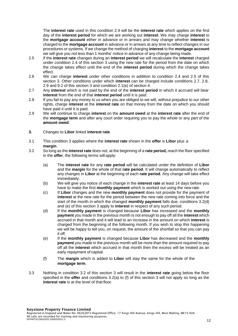The **interest rate** used in this condition 2.4 will be the **interest rate** which applies on the first day of the **interest period** for which we are working out **interest**. We may charge **interest** to the **mortgage account** either in advance or in arrears and may change whether **interest** is charged to the **mortgage account** in advance or in arrears at any time to reflect changes in our procedures or systems. If we change the method of charging **interest** to the **mortgage account** we will give you not less than 1 months' notice in advance of any change being made.

- 2.5 If the **interest rate** changes during an **interest period** we will recalculate the **interest** charged under condition 2.4 of this section 3 using the new rate for the period from the date on which the change takes effect until the end of the **interest period** during which the change takes effect.
- 2.6 We can charge **interest** under other conditions in addition to condition 2.4 and 2.5 of this section 3. Other conditions under which **interest** can be charged include conditions 2.7, 2.8, 2.9 and 9.2 of this section 3 and condition 2.1(e) of section 4.
- 2.7 Any **interest** which is not paid by the end of the **interest period** in which it accrued will bear **interest** from the end of that **interest period** until it is paid.
- 2.8 If you fail to pay any money to us when you are obliged to we will, without prejudice to our other rights, charge **interest** at the **interest rate** on that money from the date on which you should have paid it until it is paid.
- 2.9 We will continue to charge **interest** on the **amount owed** at the **interest rate** after the end of the **mortgage term** and after any court order requiring you to pay the whole or any part of the **amount owed**.
- **3.** Changes to **Libor** linked **interest rate**
- 3.1 This condition 3 applies where the **interest rate** shown in the **offer** is **Libor** plus a **margin**.
- 3.2 So long as the **interest rate** does not, at the beginning of a **rate period,** reach the floor specified in the **offer**, the following terms will apply:
	- (a) The **interest rate** for any **rate period** will be calculated under the definition of **Libor**  and the **margin** for the whole of that **rate period**. It will change automatically to reflect any changes in **Libor** at the beginning of each **rate period**. Any change will take effect immediately.
	- (b) We will give you notice of each change in the **interest rate** at least 14 days before you have to make the first **monthly payment** which is worked out using the new rate.
	- (c) If **Libor** changes and the new **monthly payment** does not provide for the payment of **interest** at the new rate for the period between the new rate coming into force and the start of the month in which the changed **monthly payment** falls due, conditions 3.2(d) and (e) of this section 3 apply to **interest** in respect of any such period.
	- (d) If the **monthly payment** is changed because **Libor** has increased and the **monthly payment** you made in the previous month is not enough to pay off all the **interest** which accrued in that month and it will lead to an increase in the amount on which **interest** is charged from the beginning of the following month. If you wish to stop this happening we will be happy to tell you, on request, the amount of the shortfall so that you can pay it off.
	- (e) If the **monthly payment** is changed because **Libor** has decreased and the **monthly payment** you made in the previous month will be more than the amount required to pay off all the **interest** which accrued in that month then the excess will be treated as an early repayment of capital.
	- (f) The **margin** which is added to **Libor** will stay the same for the whole of the **mortgage term**.
- 3.3 Nothing in condition 3.2 of this section 3 will result in the **interest rate** going below the floor specified in the **offer** and conditions 3.2(a) to (f) of this section 3 will not apply so long as the **interest rate** is at the level of that floor.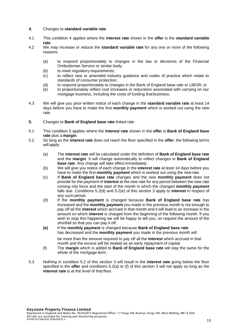#### **4.** Changes to **standard variable rate**

- 4.1 This condition 4 applies where the **interest rate** shown in the **offer** is the **standard variable rate**.
- 4.2 We may increase or reduce the **standard variable rate** for any one or more of the following reasons:
	- (a) to respond proportionately to changes in the law or decisions of the Financial Ombudsman Service or similar body;
	- (b) to meet regulatory requirements;
	- (c) to reflect new or amended industry guidance and codes of practice which relate to standards of consumer protection;
	- (d) to respond proportionately to changes in the Bank of England base rate or LIBOR; or
	- (e) to proportionately reflect cost increases or reductions associated with carrying on our mortgage business, including the costs of funding that business.
- 4.3 We will give you prior written notice of each change in the **standard variable rate** at least 14 days before you have to make the first **monthly payment** which is worked out using the new rate.
- **5.** Changes to **Bank of England base rate** linked rate
- 5.1 This condition 5 applies where the **interest rate** shown in the **offer** is **Bank of England base rate** plus a **margin**.
- 5.2 So long as the **interest rate** does not reach the floor specified in the **offer**, the following terms will apply:
	- (a) The **interest rate** will be calculated under the definition of **Bank of England base rate**  and the **margin**. It will change automatically to reflect changes in **Bank of England base rate**. Any change will take effect immediately.
	- (b) We will give you notice of each change in the **interest rate** at least 14 days before you have to make the first **monthly payment** which is worked out using the new rate.
	- (c) If **Bank of England base rate** changes and the new **monthly payment** does not provide for the payment of **interest** at the new rate for any period between the new rate coming into force and the start of the month in which the changed **monthly payment**  falls due. Conditions 5.2(d) and 5.2(e) of this section 3 apply to **interest** in respect of any such period.
	- (d) If the **monthly payment** is changed because **Bank of England base rate** has increased and the **monthly payment** you made in the previous month is not enough to pay off all the **interest** which accrued in that month and it will lead to an increase in the amount on which **interest** is charged from the beginning of the following month. If you wish to stop this happening we will be happy to tell you, on request the amount of the shortfall so that you can pay it off.
	- **(e)** If the **monthly payment** is changed because **Bank of England base rate** has decreased and the **monthly payment** you made in the previous month will be more than the amount required to pay off all the **interest** which accrued in that month and the excess will be treated as an early repayment of capital.
	- (f) The **margin** which is added to **Bank of England base rate** will stay the same for the whole of the mortgage term.
- 5.3 Nothing in condition 5.2 of this section 3 will result in the **interest rate** going below the floor specified in the **offer** and conditions 5.2(a) to (f) of this section 3 will not apply so long as the **interest rate** is at the level of that floor.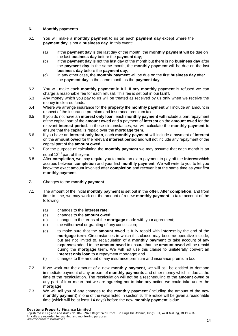# **6. Monthly payments**

- 6.1 You will make a **monthly payment** to us on each **payment day** except where the **payment day** is not a **business day**. In this event:
	- (a) if the **payment day** is the last day of the month, the **monthly payment** will be due on the last **business day** before the **payment day**;
	- (b) if the **payment day** is not the last day of the month but there is no **business day** after the **payment day** in the same month, the **monthly payment** will be due on the last **business day** before the **payment day**;
	- (c) in any other case, the **monthly payment** will be due on the first **business day** after the **payment day** in the same month as the **payment day**.
- 6.2 You will make each **monthly payment** in full. If any **monthly payment** is refused we can charge a reasonable fee for each refusal. This fee is set out in our **tariff**.
- 6.3 Any money which you pay to us will be treated as received by us only when we receive the money in cleared funds.
- 6.4 Where we arrange insurance for the **property** the **monthly payment** will include an amount in respect of the insurance premium and insurance premium tax.
- 6.5 If you do not have an **interest only loan**, each **monthly payment** will include a part repayment of the capital part of the **amount owed** and a payment of **interest** on the **amount owed** for the relevant **interest period**. In these circumstances, we will calculate the **monthly payment** to ensure that the capital is repaid over the **mortgage term**.
- 6.6 If you have an **interest only loan**, each **monthly payment** will include a payment of **interest**  on the **amount owed** for the relevant **interest period** and will not include any repayment of the capital part of the **amount owed**.
- 6.7 For the purpose of calculating the **monthly payment** we may assume that each month is an equal  $12^{th}$  part of the year.
- 6.8 After **completion**, we may require you to make an extra payment to pay off the **interest**which accrues between **completion** and your first **monthly payment**. We will write to you to let you know the exact amount involved after **completion** and recover it at the same time as your first **monthly payment**.
- **7.** Changes to the **monthly payment**
- 7.1 The amount of the initial **monthly payment** is set out in the **offer**. After **completion**, and from time to time, we may work out the amount of a new **monthly payment** to take account of the following:
	- (a) changes to the **interest rate**;
	- (b) changes to the **amount owed**;
	- (c) changes to the terms of the **mortgage** made with your agreement;
	- (d) the withdrawal or granting of any concession;
	- (e) to make sure that the **amount owed** is fully repaid with **interest** by the end of the **mortgage term***.* Circumstances in which this clause may become operative include, but are not limited to, recalculation of a **monthly payment** to take account of any **expenses** added to the **amount owed** to ensure that the **amount owed** will be repaid during the **mortgage term**. We will not use this clause to unilaterally convert an **interest only loan** to a repayment mortgage; and
	- (f) changes to the amount of any insurance premium and insurance premium tax.
- 7.2 If we work out the amount of a new **monthly payment**, we will still be entitled to demand immediate payment of any arrears of **monthly payments** and other money which is due at the time of the recalculation. The recalculation will not be a rescheduling of the **amount owed** or any part of it or mean that we are agreeing not to take any action we could take under the **mortgage**.
- 7.3 We will tell you of any changes to the **monthly payment** (including the amount of the new **monthly payment**) in one of the ways listed in section 6. The notice will be given a reasonable time (which will be at least 14 days) before the new **monthly payment** is due.

#### Keystone Property Finance Limited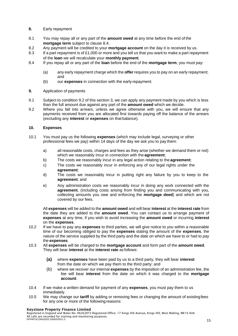# **8.** Early repayment

- 8.1 You may repay all or any part of the **amount owed** at any time before the end of the **mortgage term** subject to clause 8.4.
- 8.2 Any payment will be credited to your **mortgage account** on the day it is received by us.
- 8.3 If a part repayment is of £1,000 or more and you tell us that you want to make a part repayment of the **loan** we will recalculate your **monthly payment**.
- 8.4 If you repay all or any part of the **loan** before the end of the **mortgage term**, you must pay:
	- (a) any early repayment charge which the **offer** requires you to pay on an early repayment; and
	- (b) our **expenses** in connection with the early repayment.

# **9.** Application of payments

- 9.1 Subject to condition 9.2 of this section 3, we can apply any payment made by you which is less than the full amount due against any part of the **amount owed** which we decide.
- 9.2 Where you fall into arrears, unless we agree otherwise with you, we will ensure that any payments received from you are allocated first towards paying off the balance of the arrears (excluding any **interest** or **expenses** on that balance).

# **10. Expenses**

- 10.1 You must pay us the following **expenses** (which may include legal, surveying or other professional fees we pay) within 14 days of the day we ask you to pay them:
	- a) all reasonable costs, charges and fees as they arise (whether we demand them or not) which we reasonably incur in connection with the **agreement**;
	- b) The costs we reasonably incur in any legal action relating to the **agreement**;
	- c) The costs we reasonably incur in enforcing any of our legal rights under the **agreement**;
	- d) The costs we reasonably incur in putting right any failure by you to keep to the **agreement**; and
	- e) Any administration costs we reasonably incur in doing any work connected with the **agreement**, (including costs arising from finding you and communicating with you, collecting amounts you owe and enforcing the **mortgage deed**) and which are not covered by our fees.

All **expenses** will be added to the **amount owed** and will bear **interest** at the **interest rate** from the date they are added to the **amount owed**. You can contact us to arrange payment of **expenses** at any time, if you wish to avoid increasing the **amount owed** or incurring **interest**  on the **expenses**.

- 10.2 If we have to pay any **expenses** to third parties, we will give notice to you within a reasonable time of our becoming obliged to pay the **expenses** stating the amount of the **expenses**, the nature of the service supplied by the third party and the date on which we have to or had to pay the **expenses**.
- 10.3 All **expenses** will be charged to the **mortgage account** and form part of the **amount owed**. They will bear **interest** at the **interest rate** as follows:
	- **(a)** where **expenses** have been paid by us to a third party, they will bear **interest** from the date on which we pay them to the third party; and
	- (b) where we recover our internal **expenses** by the imposition of an administration fee, the fee will bear **interest** from the date on which it was charged to the **mortgage account**.
- 10.4 If we make a written demand for payment of any **expenses**, you must pay them to us immediately.
- 10.5 We may change our **tariff** by adding or removing fees or changing the amount of existingfees for any one or more of the following reasons:

#### Keystone Property Finance Limited

Registered in England and Wales No. 06262873 Registered Office: 17 Kings Hill Avenue, Kings Hill, West Malling, ME19 4UA All calls are recorded for training and monitoring purposes. KPFMTGCOND2020 10092020V1.3 15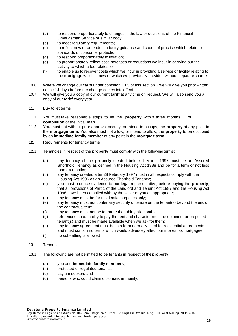- (a) to respond proportionately to changes in the law or decisions of the Financial Ombudsman Service or similar body;
- (b) to meet regulatory requirements;
- (c) to reflect new or amended industry guidance and codes of practice which relate to standards of consumer protection;
- (d) to respond proportionately to inflation:
- (e) to proportionately reflect cost increases or reductions we incur in carrying out the activity to which a fee relates; or
- (f) to enable us to recover costs which we incur in providing a service or facility relating to the **mortgage** which is new or which we previously provided without separate charge.
- 10.6 Where we change our **tariff** under condition 10.5 of this section 3 we will give you priorwritten notice 14 days before the change comes into effect.
- 10.7 We will give you a copy of our current **tariff** at any time on request. We will also send you a copy of our **tariff** every year.
- **11.** Buy to let terms
- 11.1 You must take reasonable steps to let the **property** within three months of **completion** of the initial **loan**.
- 11.2 You must not without prior approval occupy, or intend to occupy, the **property** at any point in the **mortgage term**. You also must not allow, or intend to allow, the **property** to be occupied by an **immediate family member** at any point in the **mortgage term**.
- **12.** Requirements for tenancy terms
- 12.1 Tenancies in respect of the **property** must comply with the followingterms:
	- (a) any tenancy of the **property** created before 1 March 1997 must be an Assured Shorthold Tenancy as defined in the Housing Act 1988 and be for a term of not less than six months;
	- (b) any tenancy created after 28 February 1997 must in all respects comply with the Housing Act 1996 as an Assured Shorthold Tenancy;
	- (c) you must produce evidence to our legal representative, before buying the **property**, that all provisions of Part 1 of the Landlord and Tenant Act 1987 and the Housing Act 1996 have been complied with by the seller or you as appropriate;
	- (d) any tenancy must be for residential purposes only;
	- (e) any tenancy must not confer any security of tenure on the tenant(s) beyond the endof the contractual term;
	- (f) any tenancy must not be for more than thirty-six months;
	- (g) references about ability to pay the rent and character must be obtained for proposed tenant(s) and must be made available when we ask for them;
	- (h) any tenancy agreement must be in a form normally used for residential agreements and must contain no terms which would adversely affect our interest as mortgagee;
	- (i) no sub-letting is allowed

#### **13.** Tenants

- 13.1 The following are not permitted to be tenants in respect of the**property**:
	- (a) you and **immediate family members**;
	- (b) protected or regulated tenants;
	- (c) asylum seekers and
	- (d) persons who could claim diplomatic immunity.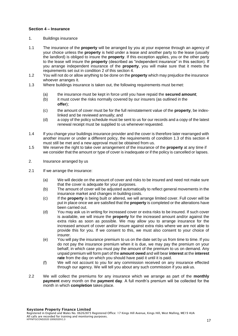#### **Section 4 – Insurance**

- 1. Buildings insurance
- 1.1 The insurance of the **property** will be arranged by you at your expense through an agency of your choice unless the **property** is held under a lease and another party to the lease (usually the landlord) is obliged to insure the **property**. If this exception applies, you or the other party to the lease will insure the **property** (described as "independent insurance" in this section). If you arrange independent insurance of the **property**, you will make sure that it meets the requirements set out in condition 2 of this section 4.
- 1.2 You will not do or allow anything to be done on the **property** which may prejudice the insurance whoever arranges it.
- 1.3 Where buildings insurance is taken out, the following requirements must bemet:
	- (a) the insurance must be kept in force until you have repaid the **secured amount**;
	- (b) it must cover the risks normally covered by our insurers (as outlined in the **offer**);
	- (c) the amount of cover must be for the full reinstatement value of the **property**, be indexlinked and be reviewed annually; and
	- (d) a copy of the policy schedule must be sent to us for our records and a copy of the latest renewal receipt must be supplied to us whenever requested.
- 1.4 If you change your buildings insurance provider and the cover is therefore later rearranged with another insurer or under a different policy, the requirements of condition 1.3 of this section 4 must still be met and a new approval must be obtained from us.
- 1.5 We reserve the right to take over arrangement of the insurance of the **property** at any time if we consider that the amount or type of cover is inadequate or if the policy is cancelled or lapses.
- 2. Insurance arranged by us
- 2.1 If we arrange the insurance:
	- (a) We will decide on the amount of cover and risks to be insured and need not make sure that the cover is adequate for your purposes.
	- (b) The amount of cover will be adjusted automatically to reflect general movements in the insurance market and changes in building costs.
	- (c) If the **property** is being built or altered, we will arrange limited cover. Full cover will be put in place once we are satisfied that the **property** is completed or the alterations have been carried out.
	- (d) You may ask us in writing for increased cover or extra risks to be insured. If such cover is available, we will insure the **property** for the increased amount and/or against the extra risks as soon as possible. We may allow you to arrange insurance for the increased amount of cover and/or insure against extra risks where we are not able to provide this for you. If we consent to this, we must also consent to your choice of insurer.
	- (e) You will pay the insurance premium to us on the date set by us from time to time. If you do not pay the insurance premium when it is due, we may pay the premium on your behalf, in which case you must pay the amount of the premium to us on demand. Any unpaid premium will form part of the **amount owed** and will bear **interest** at the **interest rate** from the day on which you should have paid it until it is paid.
	- (f) We will not account to you for any commission received on any insurance effected through our agency. We will tell you about any such commission if you ask us.
- 2.2 We will collect the premiums for any insurance which we arrange as part of the **monthly payment** every month on the **payment day**. A full month's premium will be collected for the month in which **completion** takes place.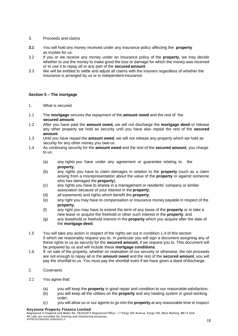# 3. Proceeds and claims

- **3.1** You will hold any money received under any insurance policy affecting the **property** as trustee for us.
- 3.2 If you or we receive any money under an insurance policy of the **property**, we may decide whether to use the money to make good the loss or damage for which the money was received or to use it to repay all or any part of the **secured amount**.
- 3.3 We will be entitled to settle and adjust all claims with the insurers regardless of whether the insurance is arranged by us or is independent insurance.

# **Section 5 – The mortgage**

- 1. What is secured
- 1.1 The **mortgage** secures the repayment of the **amount owed** and the rest of the **secured amount**.
- 1.2 After you have paid the **amount owed,** we will not discharge the **mortgage deed** or release any other property we hold as security until you have also repaid the rest of the **secured amount**.
- 1.3 Until you have repaid the **amount owed**, we will not release any property which we hold as security for any other money you owe us.
- 1.4 As continuing security for the **amount owed** and the rest of the **secured amount**, you charge to us:
	- (a) any rights you have under any agreement or guarantee relating to the **property**;
	- (b) any rights you have to claim damages in relation to the **property** (such as a claim arising from a misrepresentation about the value of the **property** or against someone who has damaged the **property**);
	- (c) any rights you have to shares in a management or residents' company or similar association because of your interest in the **property**;
	- (d) all easements and rights which benefit the **property**;
	- (e) any right you may have to compensation or insurance money payable in respect of the **property**;
	- (f) any right you may have to extend the term of any lease of the **property** or to take a new lease or acquire the freehold or other such interest in the **property**; and
	- (g) any leasehold or freehold interest in the **property** which you acquire after the date of the **mortgage deed**.
- 1.5 You will take any action in respect of the rights set out in condition 1.4 of this section 5 which we reasonably request you to. In particular you will sign a document assigning any of these rights to us as security for the **secured amount**, if we request you to. This document will be prepared by us and will include these **mortgage conditions**.
- 1.6 If, on sale of the property, whether on realisation of our security or otherwise, the net proceeds are not enough to repay all or the **amount owed** and the rest of the **secured amount**, you will pay the shortfall to us. You must pay the shortfall even if we have given a deed ofdischarge.
- 2. Covenants
- 2.1 You agree that:
	- (a) you will keep the **property** in good repair and condition to our reasonable satisfaction;
	- (b) you will keep all the utilities on the **property** and any heating system in good working order;
	- (c) you will allow us or our agents to go into the **property** at any reasonable time to inspect

#### Keystone Property Finance Limited

Registered in England and Wales No. 06262873 Registered Office: 17 Kings Hill Avenue, Kings Hill, West Malling, ME19 4UA All calls are recorded for training and monitoring purposes. KPFMTGCOND2020 10092020V1.3 18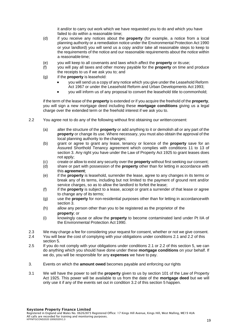it and/or to carry out work which we have requested you to do and which you have failed to do within a reasonable time;

- (d) if you receive any notices about the **property** (for example, a notice from a local planning authority or a remediation notice under the Environmental Protection Act 1990 or your landlord) you will send us a copy and/or take all reasonable steps to keep to the requirements of the notice and our reasonable requirements about the notice within a reasonable time;
- (e) you will keep to all covenants and laws which affect the **property** or its use;
- (f) you will pay all taxes and other money payable for the **property** on time and produce the receipts to us if we ask you to; and
- (g) if the **property** is leasehold:
	- you will send us a copy of any notice which you give under the Leasehold Reform Act 1967 or under the Leasehold Reform and Urban Developments Act 1993;
	- you will inform us of any proposal to convert the leasehold title to commonhold;

if the term of the lease of the **property** is extended or if you acquire the freehold of the **property**, you will sign a new mortgage deed including these **mortgage conditions** giving us a legal charge over the extended term or the freehold interest if we ask you to.

- 2.2 You agree not to do any of the following without first obtaining our writtenconsent:
	- (a) alter the structure of the **property** or add anything to it or demolish all or any part of the **property** or change its use. Where necessary, you must also obtain the approval of the local planning authority to the changes;
	- (b) grant or agree to grant any lease, tenancy or licence of the **property** save for an Assured Shorthold Tenancy agreement which complies with conditions 11 to 13 of section 3. Any right you have under the Law of Property Act 1925 to grant leases does not apply;
	- (c) create or allow to exist any security over the **property** without first seeking our consent;
	- (d) share or part with possession of the **property** other than for letting in accordance with this **agreement**;
	- (e) if the **property** is leasehold, surrender the lease, agree to any changes in its terms or break any of its terms, including but not limited to the payment of ground rent and/or service charges, so as to allow the landlord to forfeit the lease:
	- (f) if the **property** is subject to a lease, accept or grant a surrender of that lease or agree to change any of its terms;
	- (g) use the **property** for non-residential purposes other than for letting in accordancewith section 3.
	- (h) allow any person other than you to be registered as the proprietor of the **property**; or
	- (i) knowingly cause or allow the **property** to become contaminated land under Pt IIA of the Environmental Protection Act 1990.
- 2.3 We may charge a fee for considering your request for consent, whether or not we give consent.
- 2.4 You will bear the cost of complying with your obligations under conditions 2.1 and 2.2 of this section 5.
- 2.5 If you do not comply with your obligations under conditions 2.1 or 2.2 of this section 5, we can do anything which you should have done under these **mortgage conditions** on your behalf. If we do, you will be responsible for any **expenses** we have to pay.
- 3. Events on which the **amount owed** becomes payable and enforcing our rights
- 3.1 We will have the power to sell the **property** given to us by section 101 of the Law of Property Act 1925. This power will be available to us from the date of the **mortgage deed** but we will only use it if any of the events set out in condition 3.2 of this section 5 happen.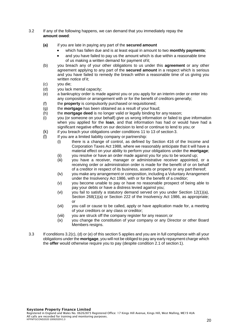#### 3.2 If any of the following happens, we can demand that you immediately repay the **amount owed**:

- **(a)** if you are late in paying any part of the **secured amount**
	- which has fallen due and is at least equal in amount to two **monthly payments**;
	- and you have failed to pay us the amount which is due within a reasonable time of us making a written demand for payment ofit;
- (b) you breach any of your other obligations to us under this **agreement** or any other agreement applying to any part of the **secured amount** in a respect which is serious and you have failed to remedy the breach within a reasonable time of us giving you written notice of it;
- (c) you die;
- (d) you lack mental capacity;
- (e) a bankruptcy order is made against you or you apply for an interim order or enter into any composition or arrangement with or for the benefit of creditors generally;
- (f) the **property** is compulsorily purchased or requisitioned;
- (g) the **mortgage** has been obtained as a result of your fraud;
- (h) the **mortgage deed** is no longer valid or legally binding for any reason;
- (i) you (or someone on your behalf) give us wrong information or failed to give information when you applied for the **loan**, and that information has had or would have had a significant negative effect on our decision to lend or continue to lend to you; or
- (k) if you breach your obligations under conditions 11 to 13 of section 3.
- (l) If you are a limited liability company or partnership:
	- (i) there is a change of control, as defined by Section 416 of the Income and Corporation Taxes Act 1988, where we reasonably anticipate that it will have a material effect on your ability to perform your obligations under the **mortgage**;
	- (ii) you resolve or have an order made against you for you to be wound up;
	- (iii) you have a receiver, manager or administrative receiver appointed, or a receiving order or administration order is made for the benefit of or on behalf of a creditor in respect of its business, assets or property or any part thereof;
	- (iv) you make any arrangement or composition, including a Voluntary Arrangement under the Insolvency Act 1986, with or for the benefit of a creditor;
	- (v) you become unable to pay or have no reasonable prospect of being able to pay your debts or have a distress levied against you;
	- (vi) you fail to satisfy a statutory demand served on you under Section  $12(1)(a)$ , Section 268(1)(a) or Section 222 of the Insolvency Act 1986, as appropriate; or
	- (vii) you call or cause to be called, apply or have application made for, a meeting of your creditors or any class or creditor;
	- (viii) you are struck off the company register for any reason; or
	- (ix) you change the constitution of your company or any Director or other Board Members resigns.
- 3.3 If conditions 3.2(c), (d) or (e) of this section 5 applies and you are in full compliance with all your obligations under the **mortgage**, you will not be obliged to pay any early repayment charge which the **offer** would otherwise require you to pay (despite condition 2.1 of section 1).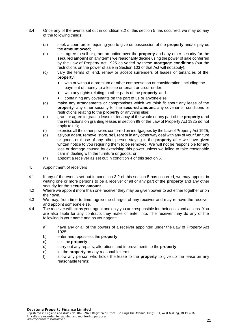- 3.4 Once any of the events set out in condition 3.2 of this section 5 has occurred, we may do any of the following things:
	- (a) seek a court order requiring you to give us possession of the **property** and/or pay us the **amount owed**;
	- (b) sell, agree to sell or grant an option over the **property** and any other security for the **secured amount** on any terms we reasonably decide using the power of sale conferred by the Law of Property Act 1925 as varied by these **mortgage conditions** (but the restrictions on the power of sale in Section 103 of that Act will not apply);
	- (c) vary the terms of, end, renew or accept surrenders of leases or tenancies of the **property**:
		- with or without a premium or other compensation or consideration, including the payment of money to a lessee or tenant on a surrender;
		- with any rights relating to other parts of the **property**; and
		- containing any covenants on the part of us or anyone else.
	- (d) make any arrangements or compromises which we think fit about any lease of the **property**, any other security for the **secured amount**, any covenants, conditions or restrictions relating to the **property** or anything else;
	- (e) grant or agree to grant a lease or tenancy of the whole or any part of the **property** (and the restrictions on granting leases in section 99 of the Law of Property Act 1925 do not apply to us);
	- (f) exercise all the other powers conferred on mortgagees by the Law of Property Act 1925;
	- (g) as your agent, remove, store, sell, rent or in any other way deal with any of your furniture or goods or those of any other person staying in the **property** after we have given written notice to you requiring them to be removed. We will not be responsible for any loss or damage caused by exercising this power unless we failed to take reasonable care in dealing with the furniture or goods; or
	- (h) appoint a receiver as set out in condition 4 of this section 5.
- 4. Appointment of receivers
- 4.1 If any of the events set out in condition 3.2 of this section 5 has occurred, we may appoint in writing one or more persons to be a receiver of all or any part of the **property** and any other security for the **secured amount**.
- 4.2 Where we appoint more than one receiver they may be given power to act either together or on their own.
- 4.3 We may, from time to time, agree the charges of any receiver and may remove the receiver and appoint someone else.
- 4.4 The receiver will act as your agent and only you are responsible for their costs and actions. You are also liable for any contracts they make or enter into. The receiver may do any of the following in your name and as your agent:
	- a) have any or all of the powers of a receiver appointed under the Law of Property Act 1925;
	- b) enter and repossess the **property**;
	- c) sell the **property**;
	- d) carry out any repairs, alterations and improvements to the **property**;
	- e) let the **property** on any reasonable terms;
	- f) allow any person who holds the lease to the **property** to give up the lease on any reasonable terms;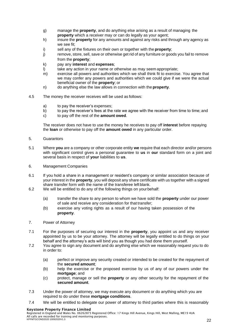- g) manage the **property**, and do anything else arising as a result of managing the **property** which a receiver may or can do legally as your agent;
- h) insure the **property** for any amounts and against any risks and through any agency as we see fit;
- i) sell any of the fixtures on their own or together with the **property**:
- j) remove, store, sell, save or otherwise get rid of any furniture or goods you fail to remove from the **property**;
- k) pay any **interest** and **expenses**;
- l) take any action in your name or otherwise as may seem appropriate;
- m) exercise all powers and authorities which we shall think fit to exercise. You agree that we may confer any powers and authorities which we could give if we were the actual beneficial owner of the **property**; or
- n) do anything else the law allows in connection with the **property**.
- 4.5 The money the receiver receives will be used as follows:
	- a) to pay the receiver's expenses;
	- b) to pay the receiver's fees at the rate we agree with the receiver from time to time; and
	- c) to pay off the rest of the **amount owed**.

The receiver does not have to use the money he receives to pay off **interest** before repaying the **loan** or otherwise to pay off the **amount owed** in any particular order.

- 5. Guarantors
- 5.1 Where **you** are a company or other corporate entity **we** require that each director and/or persons with significant control gives a personal guarantee to **us** in **our** standard form on a joint and several basis in respect of **your** liabilities to **us**.
- 6. Management Companies
- 6.1 If you hold a share in a management or resident's company or similar association because of your interest in the **property**, you will deposit any share certificate with us together with a signed share transfer form with the name of the transferee leftblank.
- 6.2 We will be entitled to do any of the following things on yourbehalf:
	- (a) transfer the share to any person to whom we have sold the **property** under our power of sale and receive any consideration for that transfer;
	- (b) exercise any voting rights as a result of our having taken possession of the **property**.
- 7. Power of Attorney
- 7.1 For the purposes of securing our interest in the **property**, you appoint us and any receiver appointed by us to be your attorney. The attorney will be legally entitled to do things on your behalf and the attorney's acts will bind you as though you had done them yourself.
- 7.2 You agree to sign any document and do anything else which we reasonably request you to do in order to:
	- (a) perfect or improve any security created or intended to be created for the repayment of the **secured amount**;
	- (b) help the exercise or the proposed exercise by us of any of our powers under the **mortgage**; and
	- (c) protect, manage or sell the **property** or any other security for the repayment of the **secured amount**.
- 7.3 Under the power of attorney, we may execute any document or do anything which you are required to do under these **mortgage conditions**.
- 7.4 We will be entitled to delegate our power of attorney to third parties where this is reasonably

#### Keystone Property Finance Limited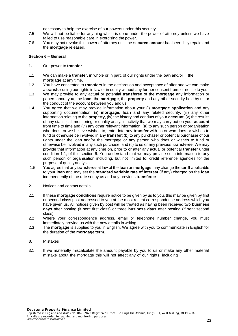necessary to help the exercise of our powers under this security.

- 7.5 We will not be liable for anything which is done under the power of attorney unless we have failed to use reasonable care in exercising the power.
- 7.6 You may not revoke this power of attorney until the **secured amount** has been fully repaid and the **mortgage** released.

#### **Section 6 – General**

- **1.** Our power to **transfer**
- 1.1 We can make a **transfer**, in whole or in part, of our rights under the **loan** and/or the **mortgage** at any time.
- 1.2 You have consented to **transfers** in the declaration and acceptance of offer and we can make a **transfer** using our rights in law or in equity without any further consent from, or notice to you.
- 1.3 We may provide to any actual or potential **transferee** of the **mortgage** any information or papers about you, the **loan**, the **mortgage**, the **property** and any other security held by us or the conduct of the account between you and us.
- 1.4 You agree that we may provide information about your (i) **mortgage application** and any supporting documentation, (ii) **mortgage**, **loan** and any related security, (iii) any other information relating to the **property**, (iv) the history and conduct of your **account**, (v) the results of any statistical, monitoring or quality analysis activity that we may carry out on your **account**  from time to time and (vi) any other relevant information, (a) to any such person or organisation who does, or we believe wishes to, enter into any **transfer** with us or who does or wishes to fund or otherwise be involved in any **transfer**; (b) to any purchaser or potential purchaser of our rights under the loan and/or the mortgage or any person who does or wishes to fund or otherwise be involved in any such purchase; and (c) to us or any previous **transferee**. We may provide that information at any time on, prior to or after any actual or potential **transfer** under condition 1.1, of this section 6. You understand that we may provide such information to any such person or organisation including, but not limited to, credit reference agencies for the purpose of qualityanalysis.
- 1.5 You agree that any **transferee** at law of the **loan** or **mortgage** may change the **tariff** applicable to your **loan** and may set the **standard variable rate of interest** (if any) charged on the **loan**  independently of the rate set by us and any previous **transferee**.
- **2.** Notices and contact details
- 2.1 If these **mortgage conditions** require notice to be given by us to you, this may be given by first or second-class post addressed to you at the most recent correspondence address which you have given us. All notices given by post will be treated as having been received two **business days** after posting (if sent first class) or three **business days** after posting (if sent second class).
- 2.2 Where your correspondence address, email or telephone number change, you must immediately provide us with the new details in writing.
- 2.3 The **mortgage** is supplied to you in English. We agree with you to communicate in English for the duration of the **mortgage term**.
- **3.** Mistakes
- 3.1 If we materially miscalculate the amount payable by you to us or make any other material mistake about the mortgage this will not affect any of our rights, including